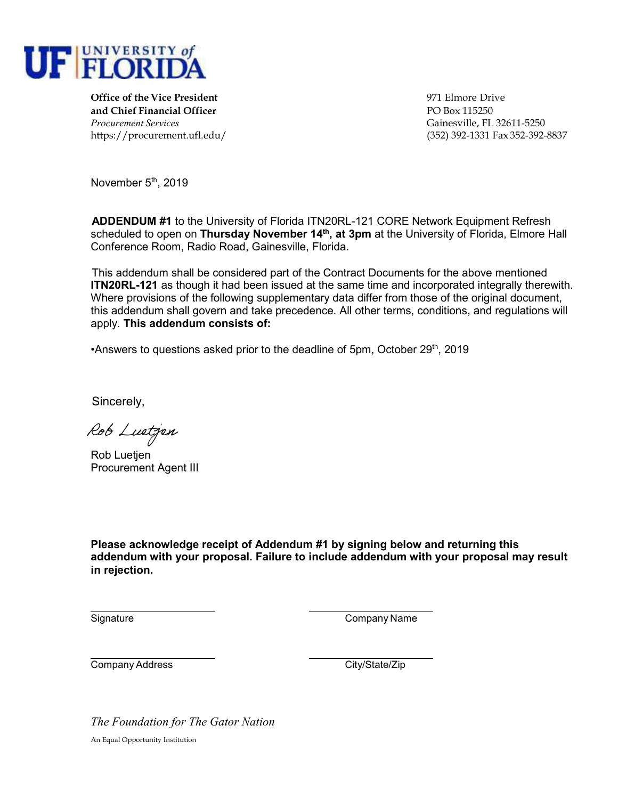

**Office of the Vice President** 971 Elmore Drive **and Chief Financial Officer** PO Box 115250 *Procurement Services* Gainesville, FL 32611-5250

https://procurement.ufl.edu/ (352) 392-1331 Fax 352-392-8837

November 5<sup>th</sup>, 2019

**ADDENDUM #1** to the University of Florida ITN20RL-121 CORE Network Equipment Refresh scheduled to open on **Thursday November 14th, at 3pm** at the University of Florida, Elmore Hall Conference Room, Radio Road, Gainesville, Florida.

This addendum shall be considered part of the Contract Documents for the above mentioned **ITN20RL-121** as though it had been issued at the same time and incorporated integrally therewith. Where provisions of the following supplementary data differ from those of the original document, this addendum shall govern and take precedence. All other terms, conditions, and regulations will apply. **This addendum consists of:** 

•Answers to questions asked prior to the deadline of 5pm, October  $29<sup>th</sup>$ , 2019

Sincerely,

Rob Luetjen

Rob Luetjen Procurement Agent III

**Please acknowledge receipt of Addendum #1 by signing below and returning this addendum with your proposal. Failure to include addendum with your proposal may result in rejection.**

Signature Company Name

Company Address Company Address City/State/Zip

*The Foundation for The Gator Nation*  An Equal Opportunity Institution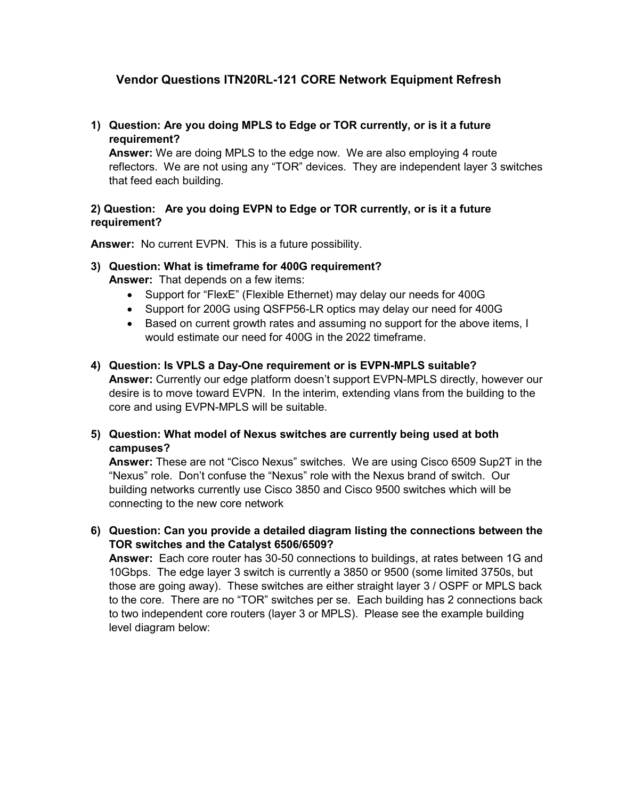# **Vendor Questions ITN20RL-121 CORE Network Equipment Refresh**

**1) Question: Are you doing MPLS to Edge or TOR currently, or is it a future requirement?**

**Answer:** We are doing MPLS to the edge now. We are also employing 4 route reflectors. We are not using any "TOR" devices. They are independent layer 3 switches that feed each building.

## **2) Question: Are you doing EVPN to Edge or TOR currently, or is it a future requirement?**

**Answer:** No current EVPN. This is a future possibility.

- **3) Question: What is timeframe for 400G requirement? Answer:** That depends on a few items:
	- Support for "FlexE" (Flexible Ethernet) may delay our needs for 400G
	- Support for 200G using QSFP56-LR optics may delay our need for 400G
	- Based on current growth rates and assuming no support for the above items, I would estimate our need for 400G in the 2022 timeframe.

## **4) Question: Is VPLS a Day-One requirement or is EVPN-MPLS suitable?**

**Answer:** Currently our edge platform doesn't support EVPN-MPLS directly, however our desire is to move toward EVPN. In the interim, extending vlans from the building to the core and using EVPN-MPLS will be suitable.

## **5) Question: What model of Nexus switches are currently being used at both campuses?**

**Answer:** These are not "Cisco Nexus" switches. We are using Cisco 6509 Sup2T in the "Nexus" role. Don't confuse the "Nexus" role with the Nexus brand of switch. Our building networks currently use Cisco 3850 and Cisco 9500 switches which will be connecting to the new core network

## **6) Question: Can you provide a detailed diagram listing the connections between the TOR switches and the Catalyst 6506/6509?**

**Answer:** Each core router has 30-50 connections to buildings, at rates between 1G and 10Gbps. The edge layer 3 switch is currently a 3850 or 9500 (some limited 3750s, but those are going away). These switches are either straight layer 3 / OSPF or MPLS back to the core. There are no "TOR" switches per se. Each building has 2 connections back to two independent core routers (layer 3 or MPLS). Please see the example building level diagram below: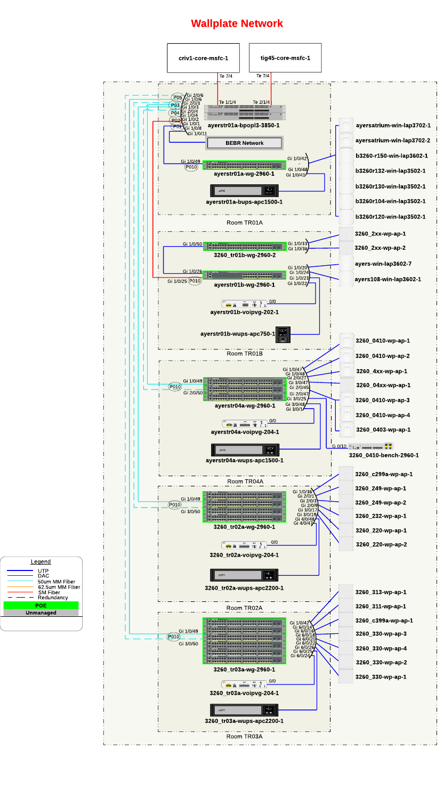

# Wallplate Network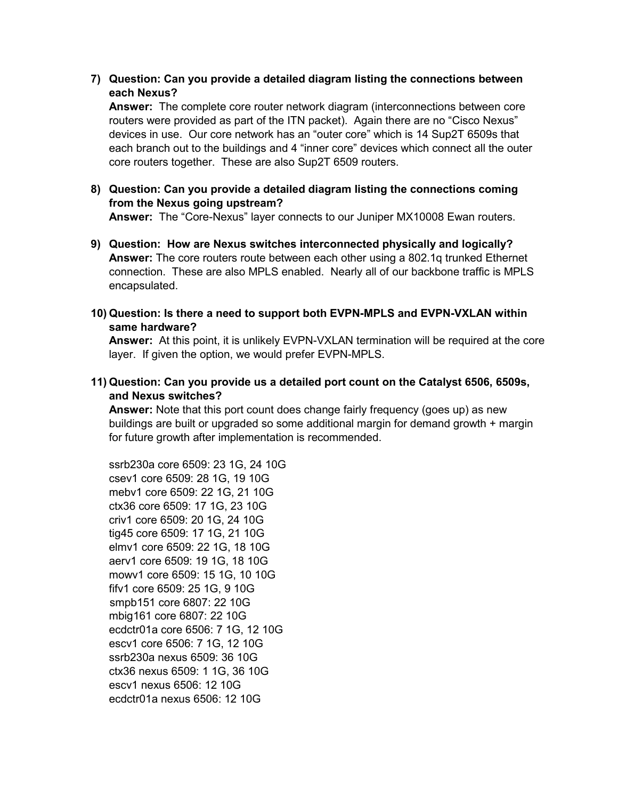**7) Question: Can you provide a detailed diagram listing the connections between each Nexus?**

**Answer:** The complete core router network diagram (interconnections between core routers were provided as part of the ITN packet). Again there are no "Cisco Nexus" devices in use. Our core network has an "outer core" which is 14 Sup2T 6509s that each branch out to the buildings and 4 "inner core" devices which connect all the outer core routers together. These are also Sup2T 6509 routers.

**8) Question: Can you provide a detailed diagram listing the connections coming from the Nexus going upstream?** 

**Answer:** The "Core-Nexus" layer connects to our Juniper MX10008 Ewan routers.

- **9) Question: How are Nexus switches interconnected physically and logically? Answer:** The core routers route between each other using a 802.1q trunked Ethernet connection. These are also MPLS enabled. Nearly all of our backbone traffic is MPLS encapsulated.
- **10) Question: Is there a need to support both EVPN-MPLS and EVPN-VXLAN within same hardware?**

**Answer:** At this point, it is unlikely EVPN-VXLAN termination will be required at the core layer. If given the option, we would prefer EVPN-MPLS.

**11) Question: Can you provide us a detailed port count on the Catalyst 6506, 6509s, and Nexus switches?**

**Answer:** Note that this port count does change fairly frequency (goes up) as new buildings are built or upgraded so some additional margin for demand growth + margin for future growth after implementation is recommended.

ssrb230a core 6509: 23 1G, 24 10G csev1 core 6509: 28 1G, 19 10G mebv1 core 6509: 22 1G, 21 10G ctx36 core 6509: 17 1G, 23 10G criv1 core 6509: 20 1G, 24 10G tig45 core 6509: 17 1G, 21 10G elmv1 core 6509: 22 1G, 18 10G aerv1 core 6509: 19 1G, 18 10G mowv1 core 6509: 15 1G, 10 10G fifv1 core 6509: 25 1G, 9 10G smpb151 core 6807: 22 10G mbig161 core 6807: 22 10G ecdctr01a core 6506: 7 1G, 12 10G escv1 core 6506: 7 1G, 12 10G ssrb230a nexus 6509: 36 10G ctx36 nexus 6509: 1 1G, 36 10G escv1 nexus 6506: 12 10G ecdctr01a nexus 6506: 12 10G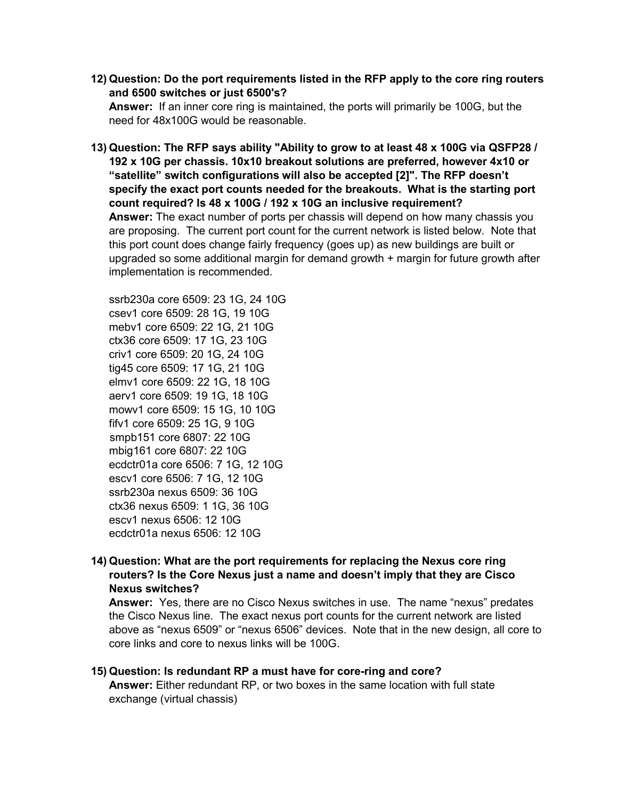**12) Question: Do the port requirements listed in the RFP apply to the core ring routers and 6500 switches or just 6500's?**

**Answer:** If an inner core ring is maintained, the ports will primarily be 100G, but the need for 48x100G would be reasonable.

**13) Question: The RFP says ability "Ability to grow to at least 48 x 100G via QSFP28 / 192 x 10G per chassis. 10x10 breakout solutions are preferred, however 4x10 or "satellite" switch configurations will also be accepted [2]". The RFP doesn't specify the exact port counts needed for the breakouts. What is the starting port count required? Is 48 x 100G / 192 x 10G an inclusive requirement? Answer:** The exact number of ports per chassis will depend on how many chassis you are proposing. The current port count for the current network is listed below. Note that this port count does change fairly frequency (goes up) as new buildings are built or upgraded so some additional margin for demand growth + margin for future growth after implementation is recommended.

ssrb230a core 6509: 23 1G, 24 10G csev1 core 6509: 28 1G, 19 10G mebv1 core 6509: 22 1G, 21 10G ctx36 core 6509: 17 1G, 23 10G criv1 core 6509: 20 1G, 24 10G tig45 core 6509: 17 1G, 21 10G elmv1 core 6509: 22 1G, 18 10G aerv1 core 6509: 19 1G, 18 10G mowv1 core 6509: 15 1G, 10 10G fifv1 core 6509: 25 1G, 9 10G smpb151 core 6807: 22 10G mbig161 core 6807: 22 10G ecdctr01a core 6506: 7 1G, 12 10G escv1 core 6506: 7 1G, 12 10G ssrb230a nexus 6509: 36 10G ctx36 nexus 6509: 1 1G, 36 10G escv1 nexus 6506: 12 10G ecdctr01a nexus 6506: 12 10G

# **14) Question: What are the port requirements for replacing the Nexus core ring routers? Is the Core Nexus just a name and doesn't imply that they are Cisco Nexus switches?**

**Answer:** Yes, there are no Cisco Nexus switches in use. The name "nexus" predates the Cisco Nexus line. The exact nexus port counts for the current network are listed above as "nexus 6509" or "nexus 6506" devices. Note that in the new design, all core to core links and core to nexus links will be 100G.

#### **15) Question: Is redundant RP a must have for core-ring and core? Answer:** Either redundant RP, or two boxes in the same location with full state exchange (virtual chassis)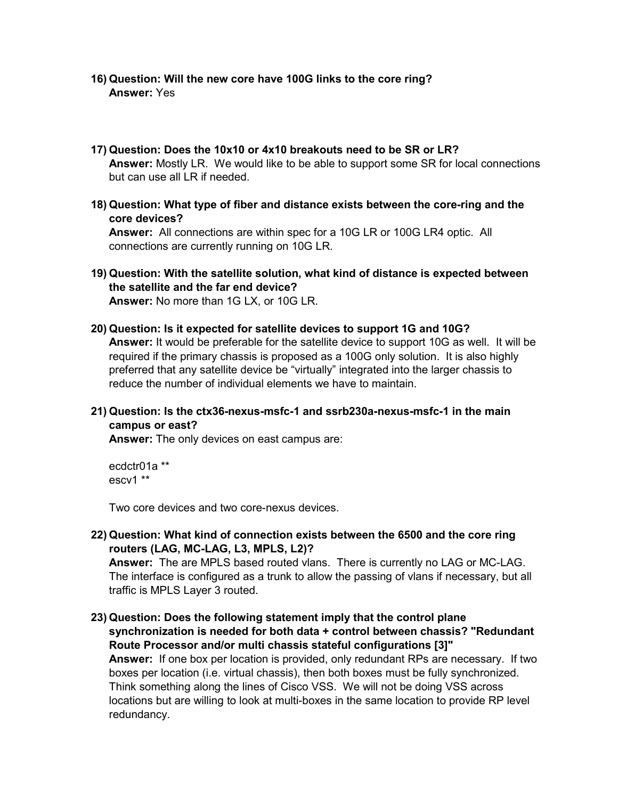- **16) Question: Will the new core have 100G links to the core ring? Answer:** Yes
- **17) Question: Does the 10x10 or 4x10 breakouts need to be SR or LR? Answer:** Mostly LR. We would like to be able to support some SR for local connections but can use all LR if needed.
- **18) Question: What type of fiber and distance exists between the core-ring and the core devices?**

**Answer:** All connections are within spec for a 10G LR or 100G LR4 optic. All connections are currently running on 10G LR.

- **19) Question: With the satellite solution, what kind of distance is expected between the satellite and the far end device? Answer:** No more than 1G LX, or 10G LR.
- **20) Question: Is it expected for satellite devices to support 1G and 10G? Answer:** It would be preferable for the satellite device to support 10G as well. It will be required if the primary chassis is proposed as a 100G only solution. It is also highly preferred that any satellite device be "virtually" integrated into the larger chassis to reduce the number of individual elements we have to maintain.
- **21) Question: Is the ctx36-nexus-msfc-1 and ssrb230a-nexus-msfc-1 in the main campus or east?**

**Answer:** The only devices on east campus are:

ecdctr01a \*\* escv1 \*\*

Two core devices and two core-nexus devices.

**22) Question: What kind of connection exists between the 6500 and the core ring routers (LAG, MC-LAG, L3, MPLS, L2)?**

**Answer:** The are MPLS based routed vlans. There is currently no LAG or MC-LAG. The interface is configured as a trunk to allow the passing of vlans if necessary, but all traffic is MPLS Layer 3 routed.

**23) Question: Does the following statement imply that the control plane synchronization is needed for both data + control between chassis? "Redundant Route Processor and/or multi chassis stateful configurations [3]" Answer:** If one box per location is provided, only redundant RPs are necessary. If two boxes per location (i.e. virtual chassis), then both boxes must be fully synchronized. Think something along the lines of Cisco VSS. We will not be doing VSS across locations but are willing to look at multi-boxes in the same location to provide RP level redundancy.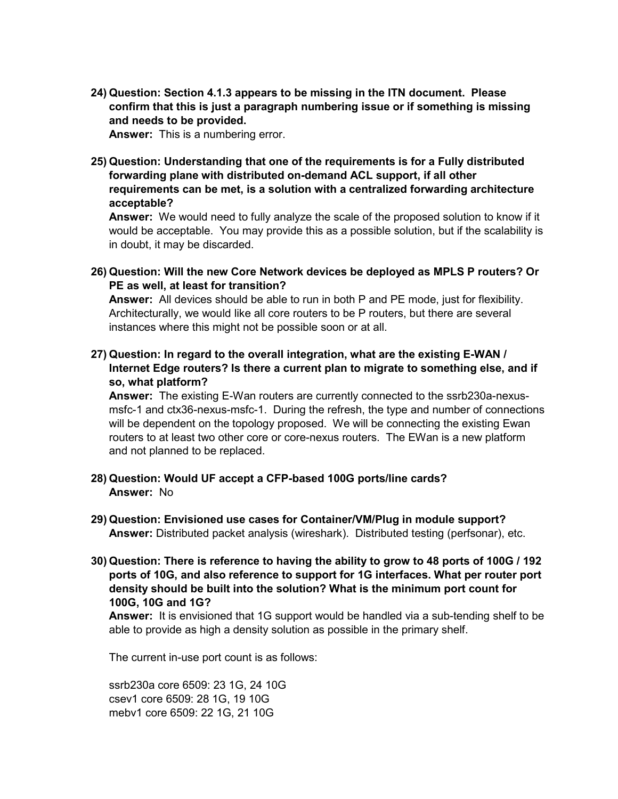**24) Question: Section 4.1.3 appears to be missing in the ITN document. Please confirm that this is just a paragraph numbering issue or if something is missing and needs to be provided.**

**Answer:** This is a numbering error.

**25) Question: Understanding that one of the requirements is for a Fully distributed forwarding plane with distributed on-demand ACL support, if all other requirements can be met, is a solution with a centralized forwarding architecture acceptable?**

**Answer:** We would need to fully analyze the scale of the proposed solution to know if it would be acceptable. You may provide this as a possible solution, but if the scalability is in doubt, it may be discarded.

**26) Question: Will the new Core Network devices be deployed as MPLS P routers? Or PE as well, at least for transition?**

**Answer:** All devices should be able to run in both P and PE mode, just for flexibility. Architecturally, we would like all core routers to be P routers, but there are several instances where this might not be possible soon or at all.

**27) Question: In regard to the overall integration, what are the existing E-WAN / Internet Edge routers? Is there a current plan to migrate to something else, and if so, what platform?**

**Answer:** The existing E-Wan routers are currently connected to the ssrb230a-nexusmsfc-1 and ctx36-nexus-msfc-1. During the refresh, the type and number of connections will be dependent on the topology proposed. We will be connecting the existing Ewan routers to at least two other core or core-nexus routers. The EWan is a new platform and not planned to be replaced.

- **28) Question: Would UF accept a CFP-based 100G ports/line cards? Answer:** No
- **29) Question: Envisioned use cases for Container/VM/Plug in module support? Answer:** Distributed packet analysis (wireshark). Distributed testing (perfsonar), etc.
- **30) Question: There is reference to having the ability to grow to 48 ports of 100G / 192 ports of 10G, and also reference to support for 1G interfaces. What per router port density should be built into the solution? What is the minimum port count for 100G, 10G and 1G?**

**Answer:** It is envisioned that 1G support would be handled via a sub-tending shelf to be able to provide as high a density solution as possible in the primary shelf.

The current in-use port count is as follows:

ssrb230a core 6509: 23 1G, 24 10G csev1 core 6509: 28 1G, 19 10G mebv1 core 6509: 22 1G, 21 10G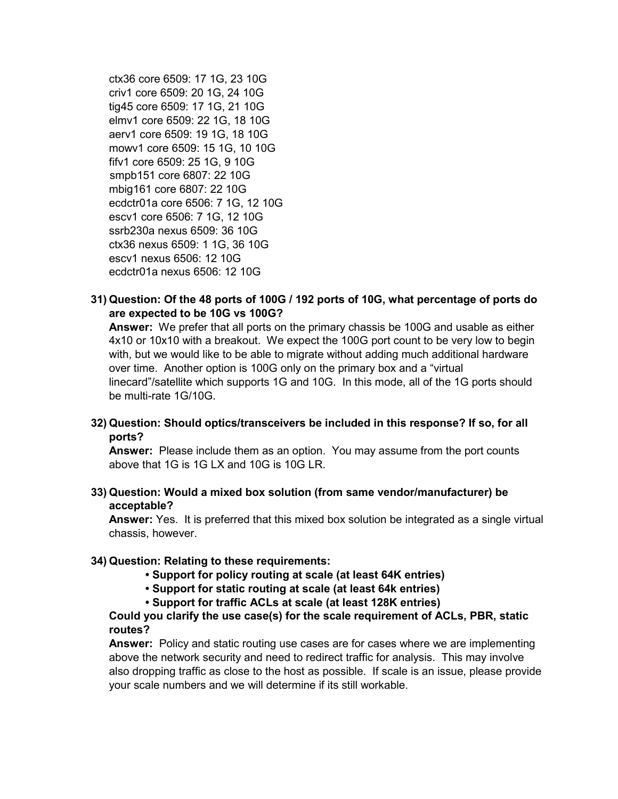ctx36 core 6509: 17 1G, 23 10G criv1 core 6509: 20 1G, 24 10G tig45 core 6509: 17 1G, 21 10G elmv1 core 6509: 22 1G, 18 10G aerv1 core 6509: 19 1G, 18 10G mowv1 core 6509: 15 1G, 10 10G fifv1 core 6509: 25 1G, 9 10G smpb151 core 6807: 22 10G mbig161 core 6807: 22 10G ecdctr01a core 6506: 7 1G, 12 10G escv1 core 6506: 7 1G, 12 10G ssrb230a nexus 6509: 36 10G ctx36 nexus 6509: 1 1G, 36 10G escv1 nexus 6506: 12 10G ecdctr01a nexus 6506: 12 10G

**31) Question: Of the 48 ports of 100G / 192 ports of 10G, what percentage of ports do are expected to be 10G vs 100G?**

**Answer:** We prefer that all ports on the primary chassis be 100G and usable as either 4x10 or 10x10 with a breakout. We expect the 100G port count to be very low to begin with, but we would like to be able to migrate without adding much additional hardware over time. Another option is 100G only on the primary box and a "virtual linecard"/satellite which supports 1G and 10G. In this mode, all of the 1G ports should be multi-rate 1G/10G.

**32) Question: Should optics/transceivers be included in this response? If so, for all ports?**

**Answer:** Please include them as an option. You may assume from the port counts above that 1G is  $1G \mid X$  and 10G is 10G LR.

**33) Question: Would a mixed box solution (from same vendor/manufacturer) be acceptable?**

**Answer:** Yes. It is preferred that this mixed box solution be integrated as a single virtual chassis, however.

## **34) Question: Relating to these requirements:**

- **Support for policy routing at scale (at least 64K entries)**
- **Support for static routing at scale (at least 64k entries)**
- **Support for traffic ACLs at scale (at least 128K entries)**

## **Could you clarify the use case(s) for the scale requirement of ACLs, PBR, static routes?**

**Answer:** Policy and static routing use cases are for cases where we are implementing above the network security and need to redirect traffic for analysis. This may involve also dropping traffic as close to the host as possible. If scale is an issue, please provide your scale numbers and we will determine if its still workable.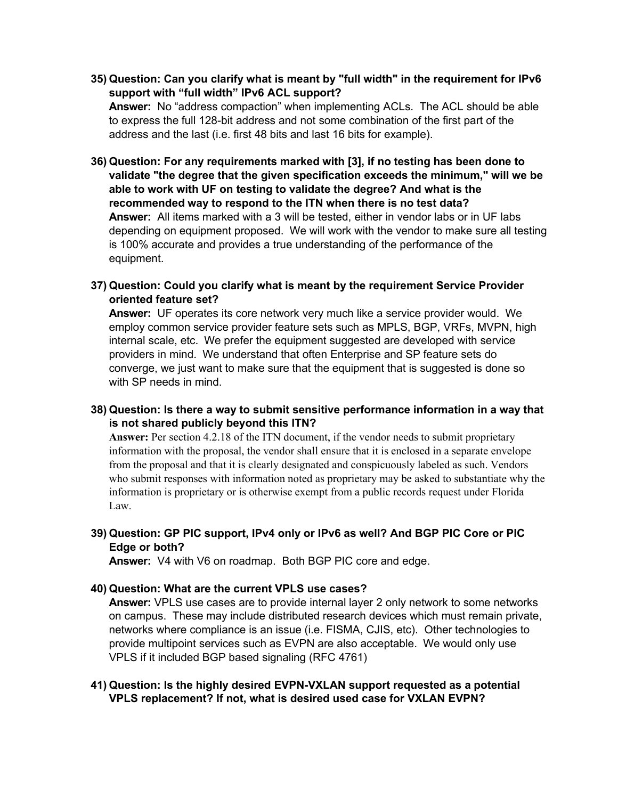**35) Question: Can you clarify what is meant by "full width" in the requirement for IPv6 support with "full width" IPv6 ACL support?**

**Answer:** No "address compaction" when implementing ACLs. The ACL should be able to express the full 128-bit address and not some combination of the first part of the address and the last (i.e. first 48 bits and last 16 bits for example).

- **36) Question: For any requirements marked with [3], if no testing has been done to validate "the degree that the given specification exceeds the minimum," will we be able to work with UF on testing to validate the degree? And what is the recommended way to respond to the ITN when there is no test data? Answer:** All items marked with a 3 will be tested, either in vendor labs or in UF labs depending on equipment proposed. We will work with the vendor to make sure all testing is 100% accurate and provides a true understanding of the performance of the equipment.
- **37) Question: Could you clarify what is meant by the requirement Service Provider oriented feature set?**

**Answer:** UF operates its core network very much like a service provider would. We employ common service provider feature sets such as MPLS, BGP, VRFs, MVPN, high internal scale, etc. We prefer the equipment suggested are developed with service providers in mind. We understand that often Enterprise and SP feature sets do converge, we just want to make sure that the equipment that is suggested is done so with SP needs in mind.

**38) Question: Is there a way to submit sensitive performance information in a way that is not shared publicly beyond this ITN?**

**Answer:** Per section 4.2.18 of the ITN document, if the vendor needs to submit proprietary information with the proposal, the vendor shall ensure that it is enclosed in a separate envelope from the proposal and that it is clearly designated and conspicuously labeled as such. Vendors who submit responses with information noted as proprietary may be asked to substantiate why the information is proprietary or is otherwise exempt from a public records request under Florida Law.

**39) Question: GP PIC support, IPv4 only or IPv6 as well? And BGP PIC Core or PIC Edge or both?**

**Answer:** V4 with V6 on roadmap. Both BGP PIC core and edge.

#### **40) Question: What are the current VPLS use cases?**

**Answer:** VPLS use cases are to provide internal layer 2 only network to some networks on campus. These may include distributed research devices which must remain private, networks where compliance is an issue (i.e. FISMA, CJIS, etc). Other technologies to provide multipoint services such as EVPN are also acceptable. We would only use VPLS if it included BGP based signaling (RFC 4761)

**41) Question: Is the highly desired EVPN-VXLAN support requested as a potential VPLS replacement? If not, what is desired used case for VXLAN EVPN?**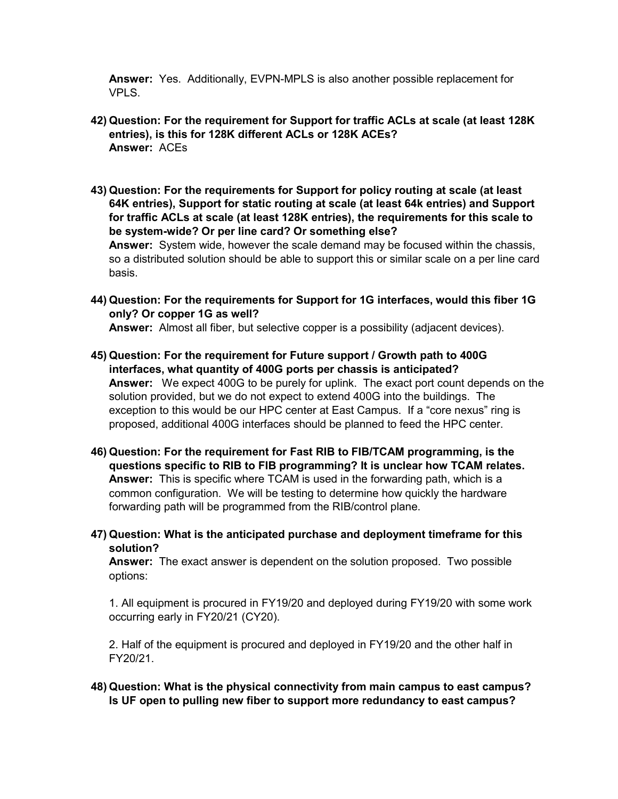**Answer:** Yes. Additionally, EVPN-MPLS is also another possible replacement for VPLS.

- **42) Question: For the requirement for Support for traffic ACLs at scale (at least 128K entries), is this for 128K different ACLs or 128K ACEs? Answer:** ACEs
- **43) Question: For the requirements for Support for policy routing at scale (at least 64K entries), Support for static routing at scale (at least 64k entries) and Support for traffic ACLs at scale (at least 128K entries), the requirements for this scale to be system-wide? Or per line card? Or something else? Answer:** System wide, however the scale demand may be focused within the chassis, so a distributed solution should be able to support this or similar scale on a per line card basis.
- **44) Question: For the requirements for Support for 1G interfaces, would this fiber 1G only? Or copper 1G as well? Answer:** Almost all fiber, but selective copper is a possibility (adjacent devices).
- **45) Question: For the requirement for Future support / Growth path to 400G interfaces, what quantity of 400G ports per chassis is anticipated? Answer:** We expect 400G to be purely for uplink. The exact port count depends on the solution provided, but we do not expect to extend 400G into the buildings. The exception to this would be our HPC center at East Campus. If a "core nexus" ring is proposed, additional 400G interfaces should be planned to feed the HPC center.
- **46) Question: For the requirement for Fast RIB to FIB/TCAM programming, is the questions specific to RIB to FIB programming? It is unclear how TCAM relates. Answer:** This is specific where TCAM is used in the forwarding path, which is a common configuration. We will be testing to determine how quickly the hardware forwarding path will be programmed from the RIB/control plane.
- **47) Question: What is the anticipated purchase and deployment timeframe for this solution?**

**Answer:** The exact answer is dependent on the solution proposed. Two possible options:

1. All equipment is procured in FY19/20 and deployed during FY19/20 with some work occurring early in FY20/21 (CY20).

2. Half of the equipment is procured and deployed in FY19/20 and the other half in FY20/21.

**48) Question: What is the physical connectivity from main campus to east campus? Is UF open to pulling new fiber to support more redundancy to east campus?**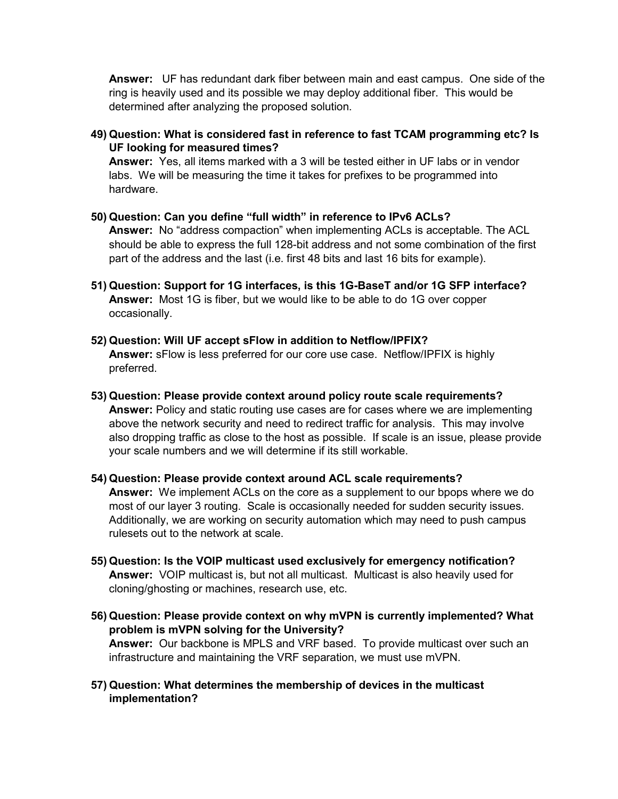**Answer:** UF has redundant dark fiber between main and east campus. One side of the ring is heavily used and its possible we may deploy additional fiber. This would be determined after analyzing the proposed solution.

**49) Question: What is considered fast in reference to fast TCAM programming etc? Is UF looking for measured times?**

**Answer:** Yes, all items marked with a 3 will be tested either in UF labs or in vendor labs. We will be measuring the time it takes for prefixes to be programmed into hardware.

- **50) Question: Can you define "full width" in reference to IPv6 ACLs? Answer:** No "address compaction" when implementing ACLs is acceptable. The ACL should be able to express the full 128-bit address and not some combination of the first part of the address and the last (i.e. first 48 bits and last 16 bits for example).
- **51) Question: Support for 1G interfaces, is this 1G-BaseT and/or 1G SFP interface? Answer:** Most 1G is fiber, but we would like to be able to do 1G over copper occasionally.
- **52) Question: Will UF accept sFlow in addition to Netflow/IPFIX? Answer:** sFlow is less preferred for our core use case. Netflow/IPFIX is highly preferred.
- **53) Question: Please provide context around policy route scale requirements? Answer:** Policy and static routing use cases are for cases where we are implementing above the network security and need to redirect traffic for analysis. This may involve also dropping traffic as close to the host as possible. If scale is an issue, please provide your scale numbers and we will determine if its still workable.
- **54) Question: Please provide context around ACL scale requirements? Answer:** We implement ACLs on the core as a supplement to our bpops where we do most of our layer 3 routing. Scale is occasionally needed for sudden security issues. Additionally, we are working on security automation which may need to push campus rulesets out to the network at scale.
- **55) Question: Is the VOIP multicast used exclusively for emergency notification? Answer:** VOIP multicast is, but not all multicast. Multicast is also heavily used for cloning/ghosting or machines, research use, etc.
- **56) Question: Please provide context on why mVPN is currently implemented? What problem is mVPN solving for the University? Answer:** Our backbone is MPLS and VRF based. To provide multicast over such an infrastructure and maintaining the VRF separation, we must use mVPN.
- **57) Question: What determines the membership of devices in the multicast implementation?**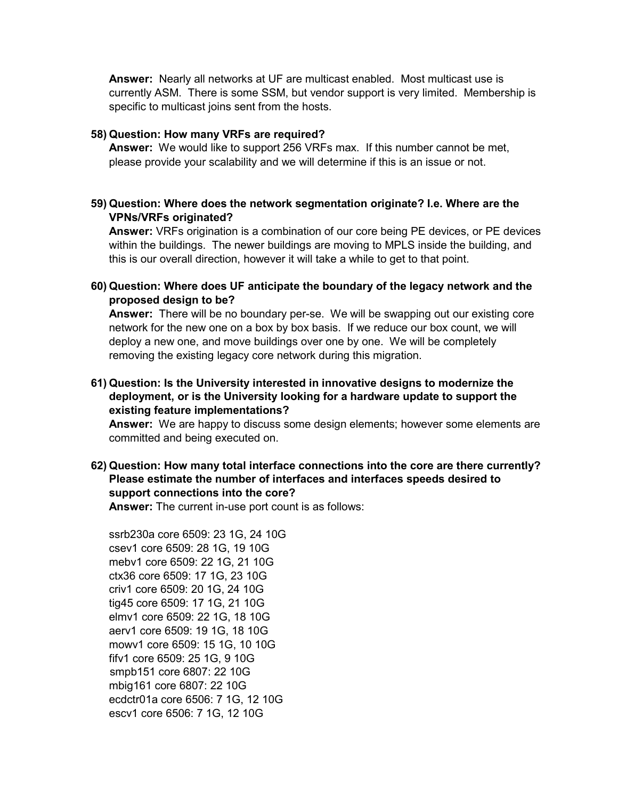**Answer:** Nearly all networks at UF are multicast enabled. Most multicast use is currently ASM. There is some SSM, but vendor support is very limited. Membership is specific to multicast joins sent from the hosts.

#### **58) Question: How many VRFs are required?**

**Answer:** We would like to support 256 VRFs max. If this number cannot be met, please provide your scalability and we will determine if this is an issue or not.

#### **59) Question: Where does the network segmentation originate? I.e. Where are the VPNs/VRFs originated?**

**Answer:** VRFs origination is a combination of our core being PE devices, or PE devices within the buildings. The newer buildings are moving to MPLS inside the building, and this is our overall direction, however it will take a while to get to that point.

**60) Question: Where does UF anticipate the boundary of the legacy network and the proposed design to be?**

**Answer:** There will be no boundary per-se. We will be swapping out our existing core network for the new one on a box by box basis. If we reduce our box count, we will deploy a new one, and move buildings over one by one. We will be completely removing the existing legacy core network during this migration.

**61) Question: Is the University interested in innovative designs to modernize the deployment, or is the University looking for a hardware update to support the existing feature implementations?**

**Answer:** We are happy to discuss some design elements; however some elements are committed and being executed on.

**62) Question: How many total interface connections into the core are there currently? Please estimate the number of interfaces and interfaces speeds desired to support connections into the core?**

**Answer:** The current in-use port count is as follows:

ssrb230a core 6509: 23 1G, 24 10G csev1 core 6509: 28 1G, 19 10G mebv1 core 6509: 22 1G, 21 10G ctx36 core 6509: 17 1G, 23 10G criv1 core 6509: 20 1G, 24 10G tig45 core 6509: 17 1G, 21 10G elmv1 core 6509: 22 1G, 18 10G aerv1 core 6509: 19 1G, 18 10G mowv1 core 6509: 15 1G, 10 10G fifv1 core 6509: 25 1G, 9 10G smpb151 core 6807: 22 10G mbig161 core 6807: 22 10G ecdctr01a core 6506: 7 1G, 12 10G escv1 core 6506: 7 1G, 12 10G